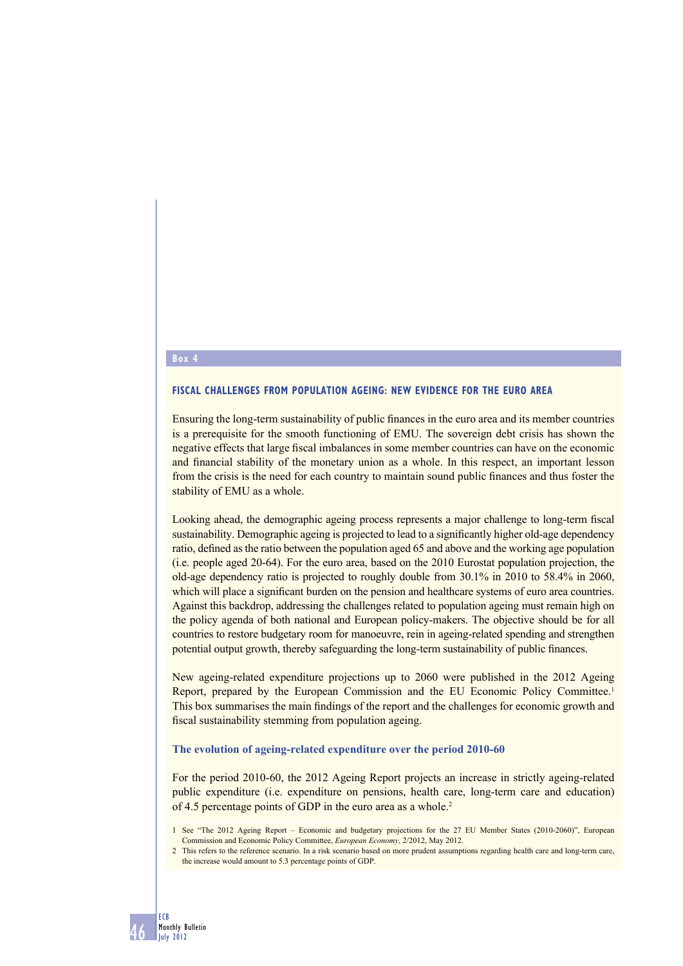#### **Box 4**

### **FISCAL CHALLENGES FROM POPULATION AGEING: NEW EVIDENCE FOR THE EURO AREA**

Ensuring the long-term sustainability of public finances in the euro area and its member countries is a prerequisite for the smooth functioning of EMU. The sovereign debt crisis has shown the negative effects that large fiscal imbalances in some member countries can have on the economic and financial stability of the monetary union as a whole. In this respect, an important lesson from the crisis is the need for each country to maintain sound public finances and thus foster the stability of EMU as a whole.

Looking ahead, the demographic ageing process represents a major challenge to long-term fiscal sustainability. Demographic ageing is projected to lead to a significantly higher old-age dependency ratio, defined as the ratio between the population aged 65 and above and the working age population (i.e. people aged 20-64). For the euro area, based on the 2010 Eurostat population projection, the old-age dependency ratio is projected to roughly double from 30.1% in 2010 to 58.4% in 2060, which will place a significant burden on the pension and healthcare systems of euro area countries. Against this backdrop, addressing the challenges related to population ageing must remain high on the policy agenda of both national and European policy-makers. The objective should be for all countries to restore budgetary room for manoeuvre, rein in ageing-related spending and strengthen potential output growth, thereby safeguarding the long-term sustainability of public finances.

New ageing-related expenditure projections up to 2060 were published in the 2012 Ageing Report, prepared by the European Commission and the EU Economic Policy Committee.1 This box summarises the main findings of the report and the challenges for economic growth and fiscal sustainability stemming from population ageing.

## **The evolution of ageing-related expenditure over the period 2010-60**

For the period 2010-60, the 2012 Ageing Report projects an increase in strictly ageing-related public expenditure (i.e. expenditure on pensions, health care, long-term care and education) of 4.5 percentage points of GDP in the euro area as a whole.<sup>2</sup>

<sup>1</sup> See "The 2012 Ageing Report – Economic and budgetary projections for the 27 EU Member States (2010-2060)", European Commission and Economic Policy Committee, *European Economy*, 2/2012, May 2012.

<sup>2</sup> This refers to the reference scenario. In a risk scenario based on more prudent assumptions regarding health care and long-term care, the increase would amount to 5.3 percentage points of GDP.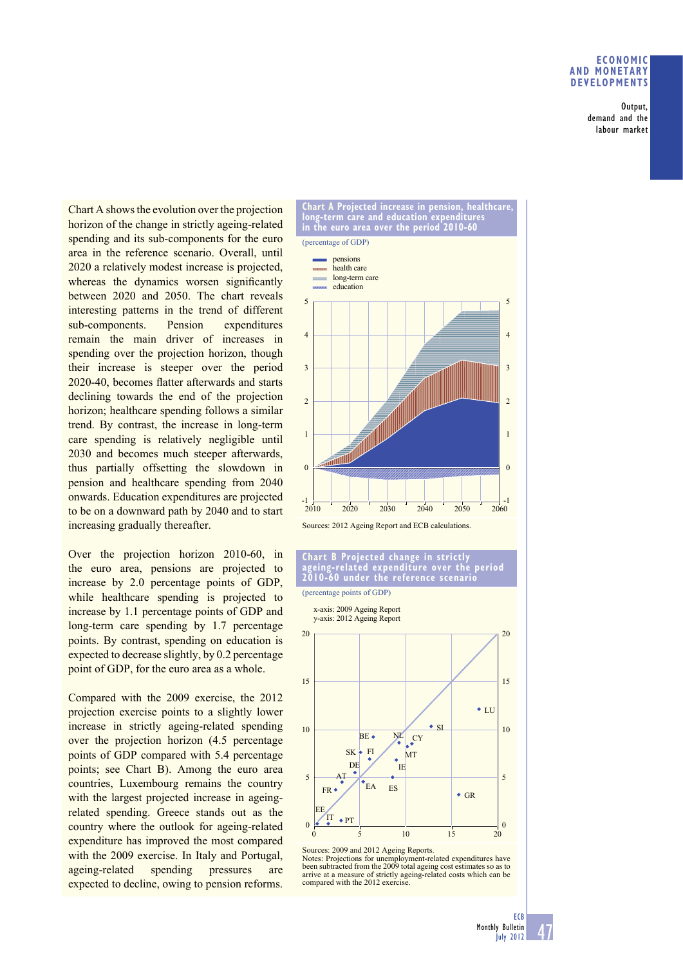# **ECONOMIC AND MONETARY DEVELOPMENTS**

Output, demand and the labour market

Chart A shows the evolution over the projection horizon of the change in strictly ageing-related spending and its sub-components for the euro area in the reference scenario. Overall, until 2020 a relatively modest increase is projected, whereas the dynamics worsen significantly between 2020 and 2050. The chart reveals interesting patterns in the trend of different sub-components. Pension expenditures remain the main driver of increases in spending over the projection horizon, though their increase is steeper over the period 2020-40, becomes flatter afterwards and starts declining towards the end of the projection horizon; healthcare spending follows a similar trend. By contrast, the increase in long-term care spending is relatively negligible until 2030 and becomes much steeper afterwards, thus partially offsetting the slowdown in pension and healthcare spending from 2040 onwards. Education expenditures are projected to be on a downward path by 2040 and to start increasing gradually thereafter.

Over the projection horizon 2010-60, in the euro area, pensions are projected to increase by 2.0 percentage points of GDP, while healthcare spending is projected to increase by 1.1 percentage points of GDP and long-term care spending by 1.7 percentage points. By contrast, spending on education is expected to decrease slightly, by 0.2 percentage point of GDP, for the euro area as a whole.

Compared with the 2009 exercise, the 2012 projection exercise points to a slightly lower increase in strictly ageing-related spending over the projection horizon (4.5 percentage points of GDP compared with 5.4 percentage points; see Chart B). Among the euro area countries, Luxembourg remains the country with the largest projected increase in ageingrelated spending. Greece stands out as the country where the outlook for ageing-related expenditure has improved the most compared with the 2009 exercise. In Italy and Portugal, ageing-related spending pressures are expected to decline, owing to pension reforms.



#### **Chart B Projected change in strictly ageing-related expenditure over the period 2010-60 under the reference scenario**



Sources: 2009 and 2012 Ageing Reports.

Notes: Projections for unemployment-related expenditures have been subtracted from the 2009 total ageing cost estimates so as to arrive at a measure of strictly ageing-related costs which can be compared with the 2012 exercise.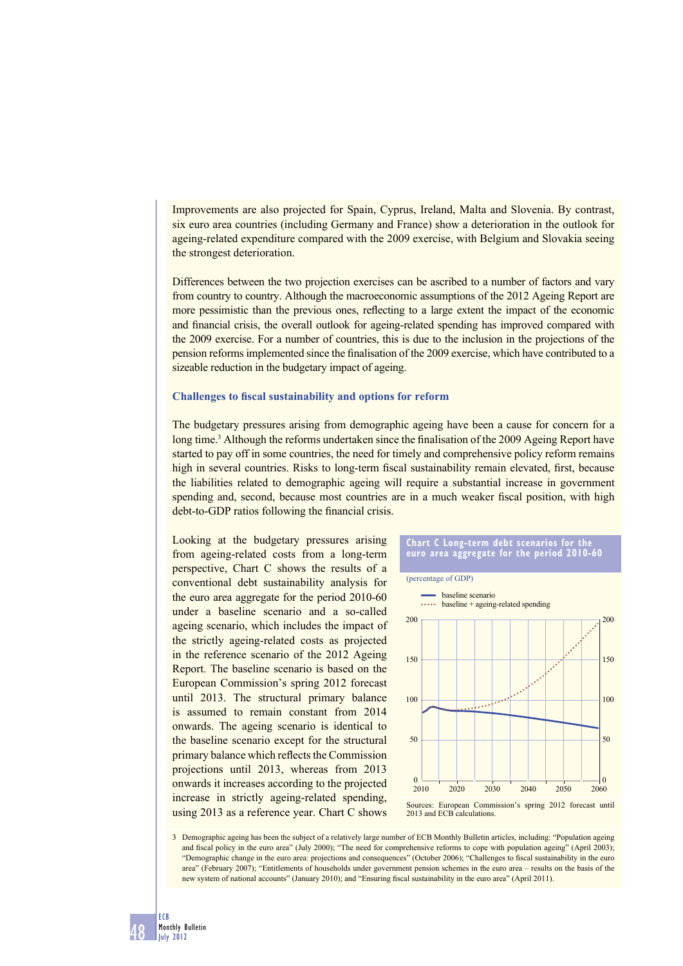Improvements are also projected for Spain, Cyprus, Ireland, Malta and Slovenia. By contrast, six euro area countries (including Germany and France) show a deterioration in the outlook for ageing-related expenditure compared with the 2009 exercise, with Belgium and Slovakia seeing the strongest deterioration.

Differences between the two projection exercises can be ascribed to a number of factors and vary from country to country. Although the macroeconomic assumptions of the 2012 Ageing Report are more pessimistic than the previous ones, reflecting to a large extent the impact of the economic and financial crisis, the overall outlook for ageing-related spending has improved compared with the 2009 exercise. For a number of countries, this is due to the inclusion in the projections of the pension reforms implemented since the finalisation of the 2009 exercise, which have contributed to a sizeable reduction in the budgetary impact of ageing.

## **Challenges to fiscal sustainability and options for reform**

The budgetary pressures arising from demographic ageing have been a cause for concern for a long time.<sup>3</sup> Although the reforms undertaken since the finalisation of the 2009 Ageing Report have started to pay off in some countries, the need for timely and comprehensive policy reform remains high in several countries. Risks to long-term fiscal sustainability remain elevated, first, because the liabilities related to demographic ageing will require a substantial increase in government spending and, second, because most countries are in a much weaker fiscal position, with high debt-to-GDP ratios following the financial crisis.

Looking at the budgetary pressures arising from ageing-related costs from a long-term perspective, Chart C shows the results of a conventional debt sustainability analysis for the euro area aggregate for the period 2010-60 under a baseline scenario and a so-called ageing scenario, which includes the impact of the strictly ageing-related costs as projected in the reference scenario of the 2012 Ageing Report. The baseline scenario is based on the European Commission's spring 2012 forecast until 2013. The structural primary balance is assumed to remain constant from 2014 onwards. The ageing scenario is identical to the baseline scenario except for the structural primary balance which reflects the Commission projections until 2013, whereas from 2013 onwards it increases according to the projected increase in strictly ageing-related spending, using 2013 as a reference year. Chart C shows





2013 and ECB calculations.

3 Demographic ageing has been the subject of a relatively large number of ECB Monthly Bulletin articles, including: "Population ageing and fiscal policy in the euro area" (July 2000); "The need for comprehensive reforms to cope with population ageing" (April 2003); "Demographic change in the euro area: projections and consequences" (October 2006); "Challenges to fiscal sustainability in the euro area" (February 2007); "Entitlements of households under government pension schemes in the euro area – results on the basis of the new system of national accounts" (January 2010); and "Ensuring fiscal sustainability in the euro area" (April 2011).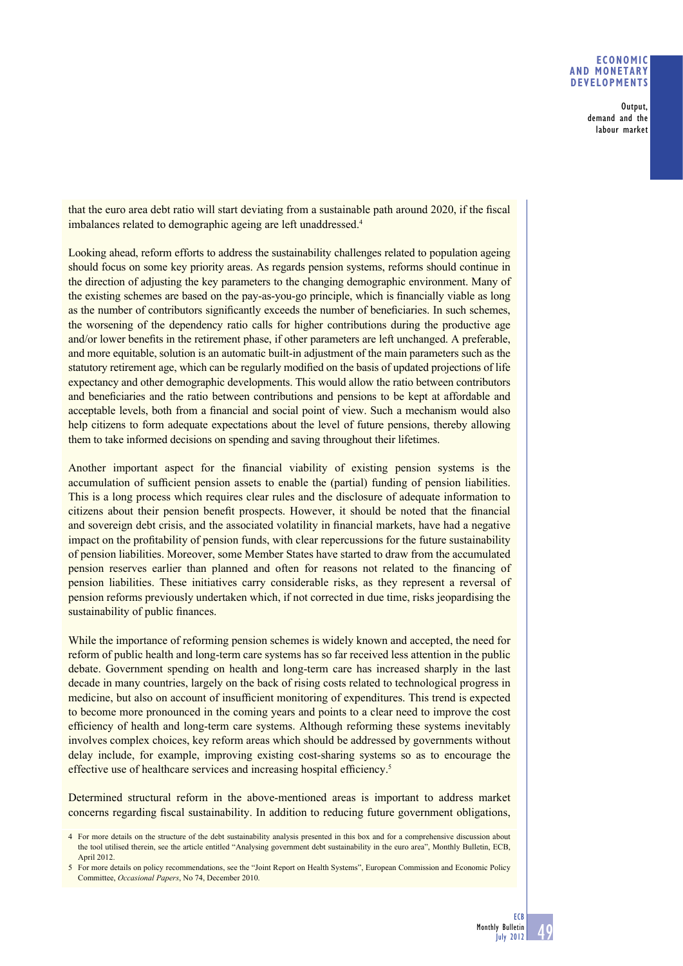# **ECONOMIC AND MONETARY DEVELOPMENTS**

Output, demand and the labour market

that the euro area debt ratio will start deviating from a sustainable path around 2020, if the fiscal imbalances related to demographic ageing are left unaddressed.<sup>4</sup>

Looking ahead, reform efforts to address the sustainability challenges related to population ageing should focus on some key priority areas. As regards pension systems, reforms should continue in the direction of adjusting the key parameters to the changing demographic environment. Many of the existing schemes are based on the pay-as-you-go principle, which is financially viable as long as the number of contributors significantly exceeds the number of beneficiaries. In such schemes, the worsening of the dependency ratio calls for higher contributions during the productive age and/or lower benefits in the retirement phase, if other parameters are left unchanged. A preferable, and more equitable, solution is an automatic built-in adjustment of the main parameters such as the statutory retirement age, which can be regularly modified on the basis of updated projections of life expectancy and other demographic developments. This would allow the ratio between contributors and beneficiaries and the ratio between contributions and pensions to be kept at affordable and acceptable levels, both from a financial and social point of view. Such a mechanism would also help citizens to form adequate expectations about the level of future pensions, thereby allowing them to take informed decisions on spending and saving throughout their lifetimes.

Another important aspect for the financial viability of existing pension systems is the accumulation of sufficient pension assets to enable the (partial) funding of pension liabilities. This is a long process which requires clear rules and the disclosure of adequate information to citizens about their pension benefit prospects. However, it should be noted that the financial and sovereign debt crisis, and the associated volatility in financial markets, have had a negative impact on the profitability of pension funds, with clear repercussions for the future sustainability of pension liabilities. Moreover, some Member States have started to draw from the accumulated pension reserves earlier than planned and often for reasons not related to the financing of pension liabilities. These initiatives carry considerable risks, as they represent a reversal of pension reforms previously undertaken which, if not corrected in due time, risks jeopardising the sustainability of public finances.

While the importance of reforming pension schemes is widely known and accepted, the need for reform of public health and long-term care systems has so far received less attention in the public debate. Government spending on health and long-term care has increased sharply in the last decade in many countries, largely on the back of rising costs related to technological progress in medicine, but also on account of insufficient monitoring of expenditures. This trend is expected to become more pronounced in the coming years and points to a clear need to improve the cost efficiency of health and long-term care systems. Although reforming these systems inevitably involves complex choices, key reform areas which should be addressed by governments without delay include, for example, improving existing cost-sharing systems so as to encourage the effective use of healthcare services and increasing hospital efficiency.<sup>5</sup>

Determined structural reform in the above-mentioned areas is important to address market concerns regarding fiscal sustainability. In addition to reducing future government obligations,

<sup>4</sup> For more details on the structure of the debt sustainability analysis presented in this box and for a comprehensive discussion about the tool utilised therein, see the article entitled "Analysing government debt sustainability in the euro area", Monthly Bulletin, ECB, April 2012.

<sup>5</sup> For more details on policy recommendations, see the "Joint Report on Health Systems", European Commission and Economic Policy Committee, *Occasional Papers*, No 74, December 2010.